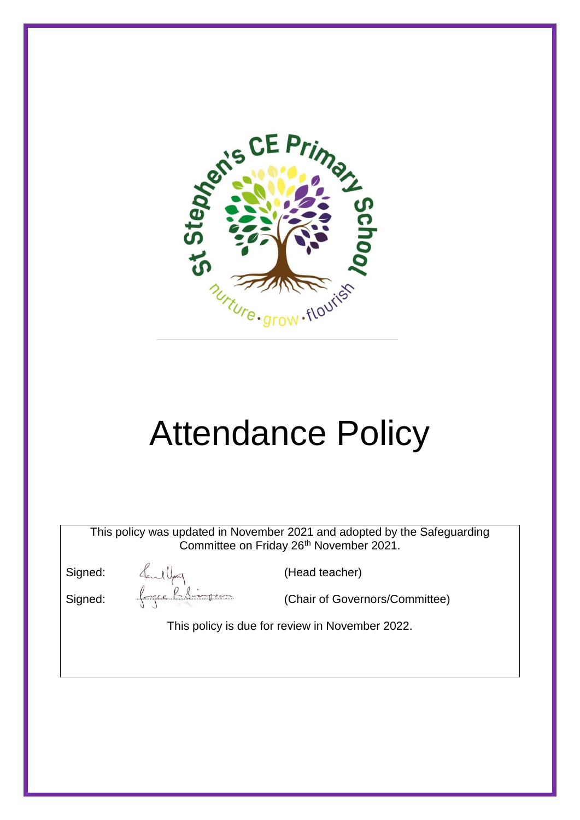

# Attendance Policy

This policy was updated in November 2021 and adopted by the Safeguarding Committee on Friday 26<sup>th</sup> November 2021.

Signed:  $\leftarrow$  (Head teacher)<br>Signed:  $\leftarrow$  (Chair of Gover

Signed: (Chair of Governors/Committee)

This policy is due for review in November 2022.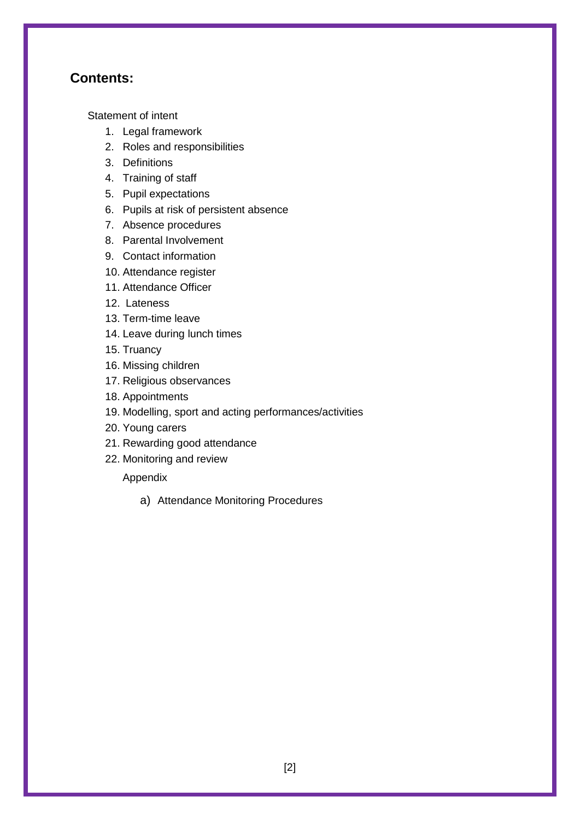#### **Contents:**

[Statement of intent](#page-2-0)

- 1. [Legal framework](#page-2-1)
- 2. [Roles and responsibilities](#page-3-0)
- 3. [Definitions](#page-4-0)
- 4. [Training of staff](#page-5-0)
- 5. [Pupil expectations](#page-5-1)
- 6. Pupils at risk of persistent absence
- 7. [Absence procedures](#page-6-0)
- 8. [Parental Involvement](#page-7-0)
- 9. [Contact](#page-8-0) information
- 10. [Attendance register](#page-9-0)
- 11. Attendance Officer
- 12. Lateness
- 13. [Term-time leave](#page-9-1)
- 14. [Leave during lunch times](#page-10-0)
- 15. [Truancy](#page-10-1)
- 16. [Missing children](#page-11-0)
- 17. [Religious observances](#page-12-0)
- 18. [Appointments](#page-13-0)
- 19. [Modelling, sport and acting performances/activities](#page-13-1)
- 20. [Young carers](#page-15-0)
- 21. [Rewarding good attendance](#page-15-1)
- 22. [Monitoring and review](#page-16-0)

#### Appendix

a) Attendance Monitoring Procedures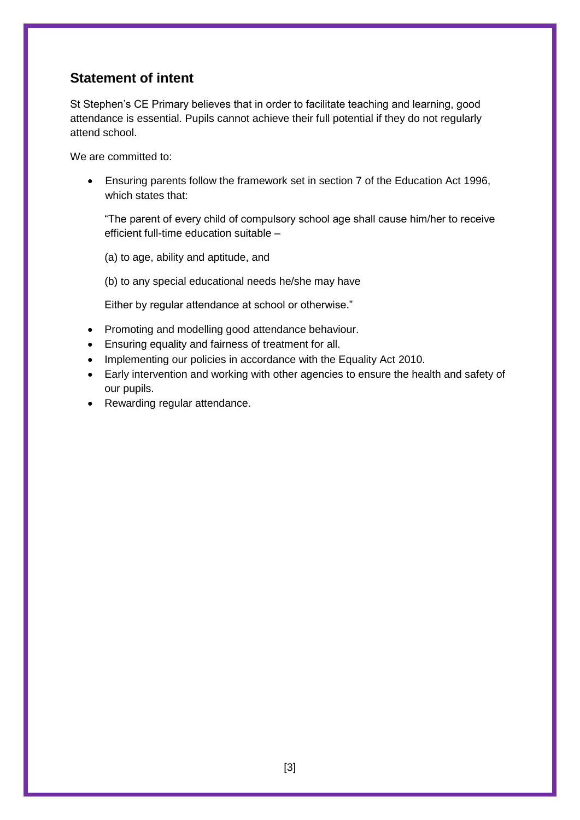# <span id="page-2-0"></span>**Statement of intent**

St Stephen's CE Primary believes that in order to facilitate teaching and learning, good attendance is essential. Pupils cannot achieve their full potential if they do not regularly attend school.

We are committed to:

 Ensuring parents follow the framework set in section 7 of the Education Act 1996, which states that:

"The parent of every child of compulsory school age shall cause him/her to receive efficient full-time education suitable –

(a) to age, ability and aptitude, and

(b) to any special educational needs he/she may have

Either by regular attendance at school or otherwise."

- Promoting and modelling good attendance behaviour.
- Ensuring equality and fairness of treatment for all.
- Implementing our policies in accordance with the Equality Act 2010.
- Early intervention and working with other agencies to ensure the health and safety of our pupils.
- <span id="page-2-1"></span>• Rewarding regular attendance.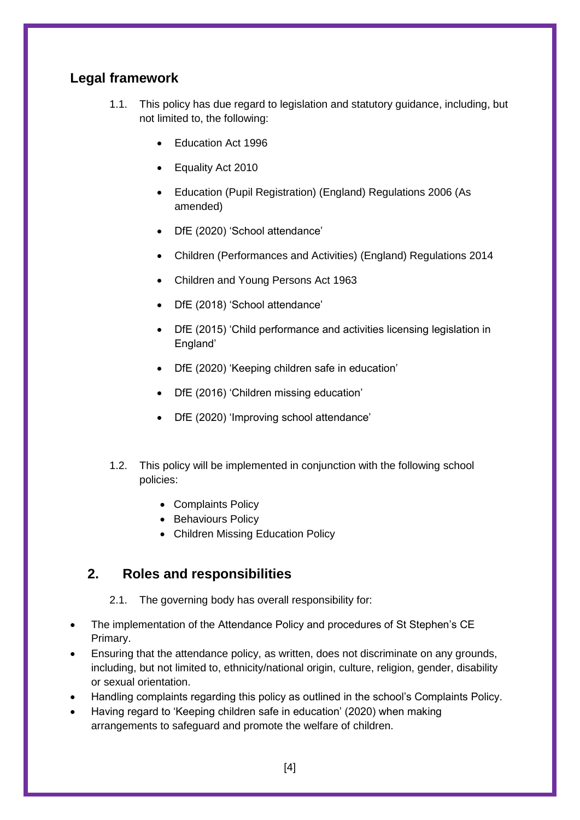# **Legal framework**

- 1.1. This policy has due regard to legislation and statutory guidance, including, but not limited to, the following:
	- Education Act 1996
	- Equality Act 2010
	- Education (Pupil Registration) (England) Regulations 2006 (As amended)
	- DfE (2020) 'School attendance'
	- Children (Performances and Activities) (England) Regulations 2014
	- Children and Young Persons Act 1963
	- DfE (2018) 'School attendance'
	- DfE (2015) 'Child performance and activities licensing legislation in England'
	- DfE (2020) 'Keeping children safe in education'
	- DfE (2016) 'Children missing education'
	- DfE (2020) 'Improving school attendance'
- 1.2. This policy will be implemented in conjunction with the following school policies:
	- Complaints Policy
	- Behaviours Policy
	- Children Missing Education Policy

# <span id="page-3-0"></span>**2. Roles and responsibilities**

- 2.1. The governing body has overall responsibility for:
- The implementation of the Attendance Policy and procedures of St Stephen's CE Primary.
- Ensuring that the attendance policy, as written, does not discriminate on any grounds, including, but not limited to, ethnicity/national origin, culture, religion, gender, disability or sexual orientation.
- Handling complaints regarding this policy as outlined in the school's Complaints Policy.
- Having regard to 'Keeping children safe in education' (2020) when making arrangements to safeguard and promote the welfare of children.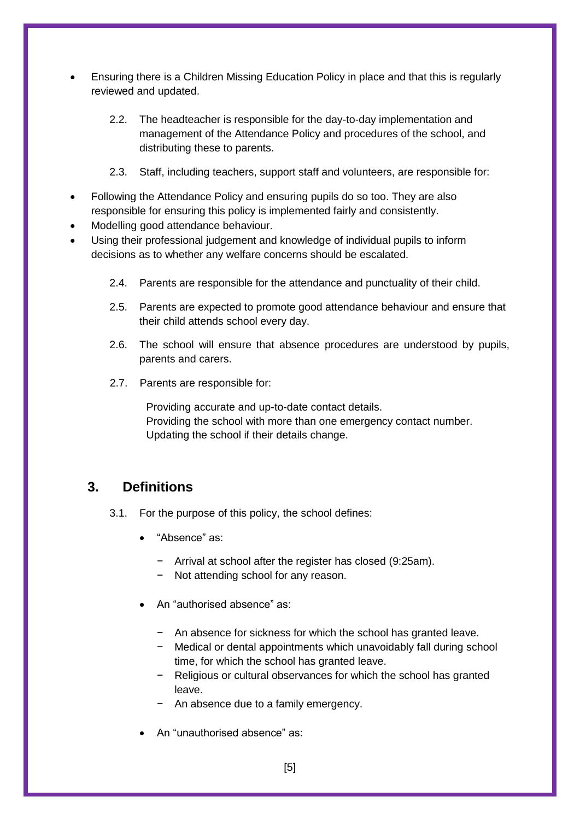- Ensuring there is a Children Missing Education Policy in place and that this is regularly reviewed and updated.
	- 2.2. The headteacher is responsible for the day-to-day implementation and management of the Attendance Policy and procedures of the school, and distributing these to parents.
	- 2.3. Staff, including teachers, support staff and volunteers, are responsible for:
- Following the Attendance Policy and ensuring pupils do so too. They are also responsible for ensuring this policy is implemented fairly and consistently.
- Modelling good attendance behaviour.
- Using their professional judgement and knowledge of individual pupils to inform decisions as to whether any welfare concerns should be escalated.
	- 2.4. Parents are responsible for the attendance and punctuality of their child.
	- 2.5. Parents are expected to promote good attendance behaviour and ensure that their child attends school every day.
	- 2.6. The school will ensure that absence procedures are understood by pupils, parents and carers.
	- 2.7. Parents are responsible for:

Providing accurate and up-to-date contact details. Providing the school with more than one emergency contact number. Updating the school if their details change.

# <span id="page-4-0"></span>**3. Definitions**

- 3.1. For the purpose of this policy, the school defines:
	- "Absence" as:
		- − Arrival at school after the register has closed (9:25am).
		- − Not attending school for any reason.
	- An "authorised absence" as:
		- − An absence for sickness for which the school has granted leave.
		- − Medical or dental appointments which unavoidably fall during school time, for which the school has granted leave.
		- − Religious or cultural observances for which the school has granted leave.
		- − An absence due to a family emergency.
	- An "unauthorised absence" as: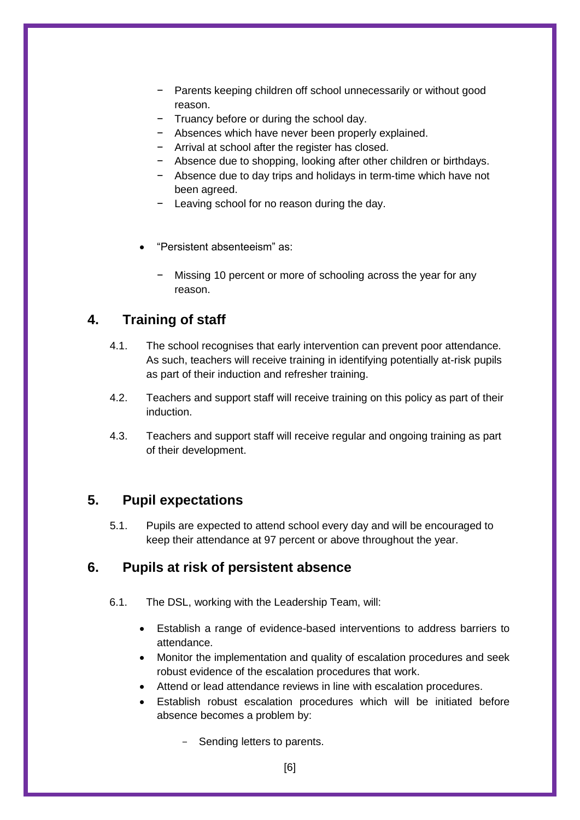- Parents keeping children off school unnecessarily or without good reason.
- − Truancy before or during the school day.
- − Absences which have never been properly explained.
- − Arrival at school after the register has closed.
- − Absence due to shopping, looking after other children or birthdays.
- − Absence due to day trips and holidays in term-time which have not been agreed.
- Leaving school for no reason during the day.
- "Persistent absenteeism" as:
	- Missing 10 percent or more of schooling across the year for any reason.

# <span id="page-5-0"></span>**4. Training of staff**

- 4.1. The school recognises that early intervention can prevent poor attendance. As such, teachers will receive training in identifying potentially at-risk pupils as part of their induction and refresher training.
- 4.2. Teachers and support staff will receive training on this policy as part of their induction.
- 4.3. Teachers and support staff will receive regular and ongoing training as part of their development.

# <span id="page-5-1"></span>**5. Pupil expectations**

5.1. Pupils are expected to attend school every day and will be encouraged to keep their attendance at 97 percent or above throughout the year.

# **6. Pupils at risk of persistent absence**

- 6.1. The DSL, working with the Leadership Team, will:
	- Establish a range of evidence-based interventions to address barriers to attendance.
	- Monitor the implementation and quality of escalation procedures and seek robust evidence of the escalation procedures that work.
	- Attend or lead attendance reviews in line with escalation procedures.
	- Establish robust escalation procedures which will be initiated before absence becomes a problem by:
		- Sending letters to parents.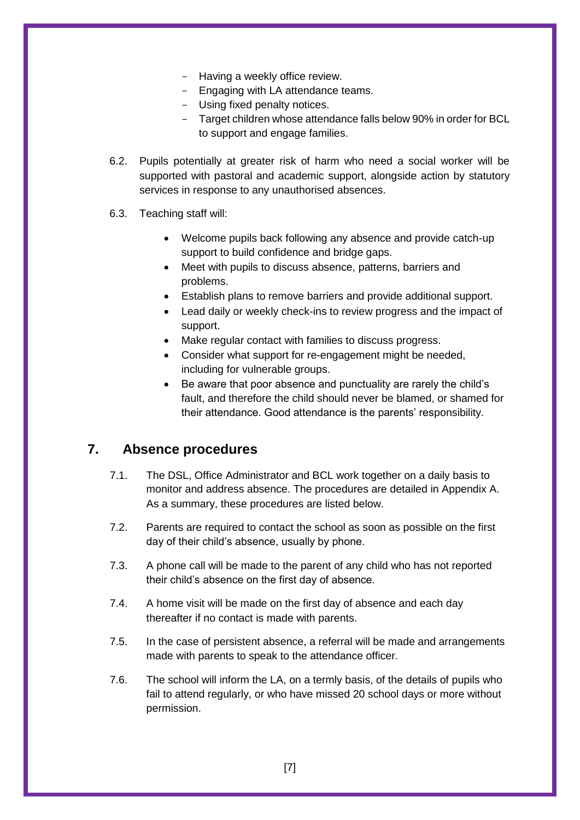- Having a weekly office review.
- Engaging with LA attendance teams.
- Using fixed penalty notices.
- Target children whose attendance falls below 90% in order for BCL to support and engage families.
- 6.2. Pupils potentially at greater risk of harm who need a social worker will be supported with pastoral and academic support, alongside action by statutory services in response to any unauthorised absences.
- 6.3. Teaching staff will:
	- Welcome pupils back following any absence and provide catch-up support to build confidence and bridge gaps.
	- Meet with pupils to discuss absence, patterns, barriers and problems.
	- Establish plans to remove barriers and provide additional support.
	- Lead daily or weekly check-ins to review progress and the impact of support.
	- Make regular contact with families to discuss progress.
	- Consider what support for re-engagement might be needed, including for vulnerable groups.
	- Be aware that poor absence and punctuality are rarely the child's fault, and therefore the child should never be blamed, or shamed for their attendance. Good attendance is the parents' responsibility.

#### <span id="page-6-0"></span>**7. Absence procedures**

- 7.1. The DSL, Office Administrator and BCL work together on a daily basis to monitor and address absence. The procedures are detailed in Appendix A. As a summary, these procedures are listed below.
- 7.2. Parents are required to contact the school as soon as possible on the first day of their child's absence, usually by phone.
- 7.3. A phone call will be made to the parent of any child who has not reported their child's absence on the first day of absence.
- 7.4. A home visit will be made on the first day of absence and each day thereafter if no contact is made with parents.
- 7.5. In the case of persistent absence, a referral will be made and arrangements made with parents to speak to the attendance officer.
- <span id="page-6-1"></span>7.6. The school will inform the LA, on a termly basis, of the details of pupils who fail to attend regularly, or who have missed 20 school days or more without permission.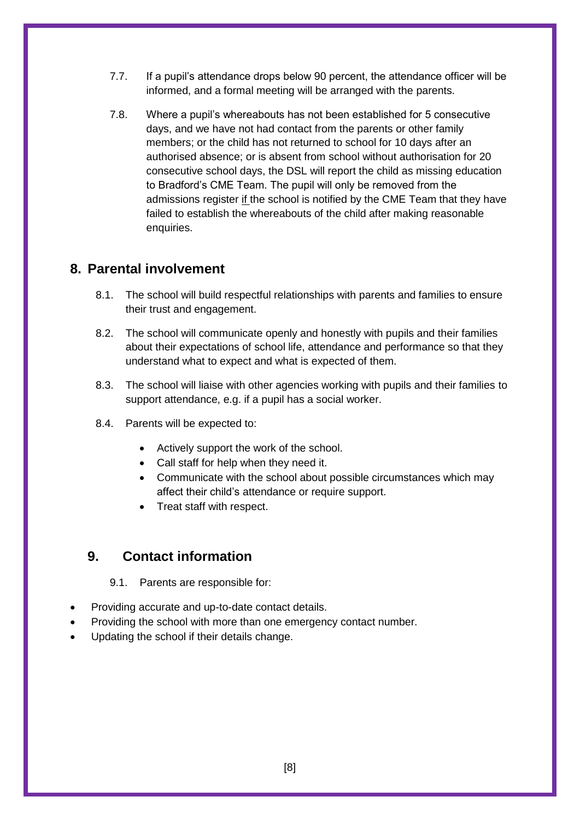- 7.7. If a pupil's attendance drops below 90 percent, the attendance officer will be informed, and a formal meeting will be arranged with the parents.
- <span id="page-7-1"></span>7.8. Where a pupil's whereabouts has not been established for 5 consecutive days, and we have not had contact from the parents or other family members; or the child has not returned to school for 10 days after an authorised absence; or is absent from school without authorisation for 20 consecutive school days, the DSL will report the child as missing education to Bradford's CME Team. The pupil will only be removed from the admissions register if the school is notified by the CME Team that they have failed to establish the whereabouts of the child after making reasonable enquiries.

# **8. Parental involvement**

- 8.1. The school will build respectful relationships with parents and families to ensure their trust and engagement.
- 8.2. The school will communicate openly and honestly with pupils and their families about their expectations of school life, attendance and performance so that they understand what to expect and what is expected of them.
- 8.3. The school will liaise with other agencies working with pupils and their families to support attendance, e.g. if a pupil has a social worker.
- 8.4. Parents will be expected to:
	- Actively support the work of the school.
	- Call staff for help when they need it.
	- Communicate with the school about possible circumstances which may affect their child's attendance or require support.
	- Treat staff with respect.

# <span id="page-7-0"></span>**9. Contact information**

9.1. Parents are responsible for:

- Providing accurate and up-to-date contact details.
- Providing the school with more than one emergency contact number.
- Updating the school if their details change.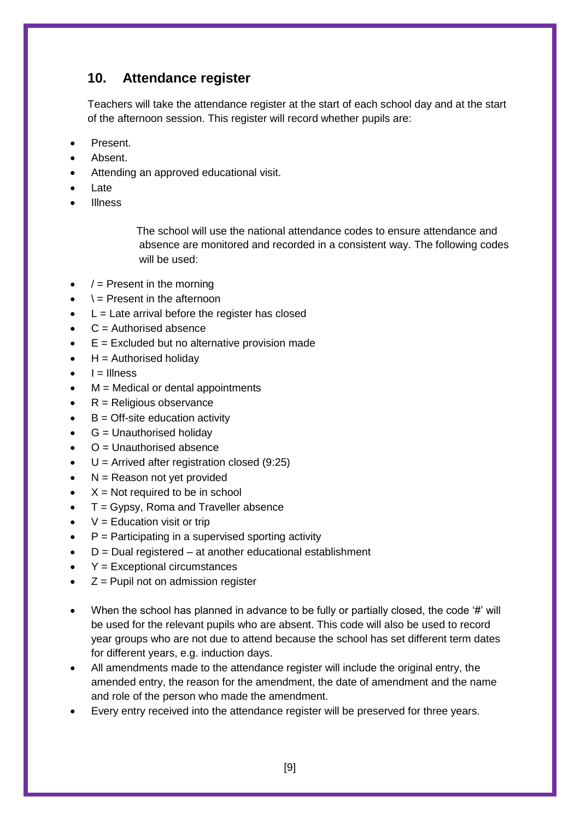# <span id="page-8-0"></span>**10. Attendance register**

Teachers will take the attendance register at the start of each school day and at the start of the afternoon session. This register will record whether pupils are:

- Present.
- Absent.
- Attending an approved educational visit.
- Late
- Illness

 The school will use the national attendance codes to ensure attendance and absence are monitored and recorded in a consistent way. The following codes will be used:

- $/$  = Present in the morning
- $\lambda$  = Present in the afternoon
- $\bullet$  L = Late arrival before the register has closed
- $C =$  Authorised absence
- $\bullet$   $E =$  Excluded but no alternative provision made
- $H =$  Authorised holidav
- $I = I$ Ilness
- M = Medical or dental appointments
- $\cdot$  R = Religious observance
- $B =$  Off-site education activity
- $\bullet$   $G =$  Unauthorised holidav
- O = Unauthorised absence
- $\bullet$  U = Arrived after registration closed (9:25)
- $\bullet$  N = Reason not yet provided
- $X = Not required to be in school$
- $\bullet$   $T = Gypsy$ , Roma and Traveller absence
- $\bullet$   $V =$  Education visit or trip
- $P =$  Participating in a supervised sporting activity
- $D =$  Dual registered  $-$  at another educational establishment
- Y = Exceptional circumstances
- $\bullet$   $Z =$  Pupil not on admission register
- When the school has planned in advance to be fully or partially closed, the code '#' will be used for the relevant pupils who are absent. This code will also be used to record year groups who are not due to attend because the school has set different term dates for different years, e.g. induction days.
- All amendments made to the attendance register will include the original entry, the amended entry, the reason for the amendment, the date of amendment and the name and role of the person who made the amendment.
- Every entry received into the attendance register will be preserved for three years.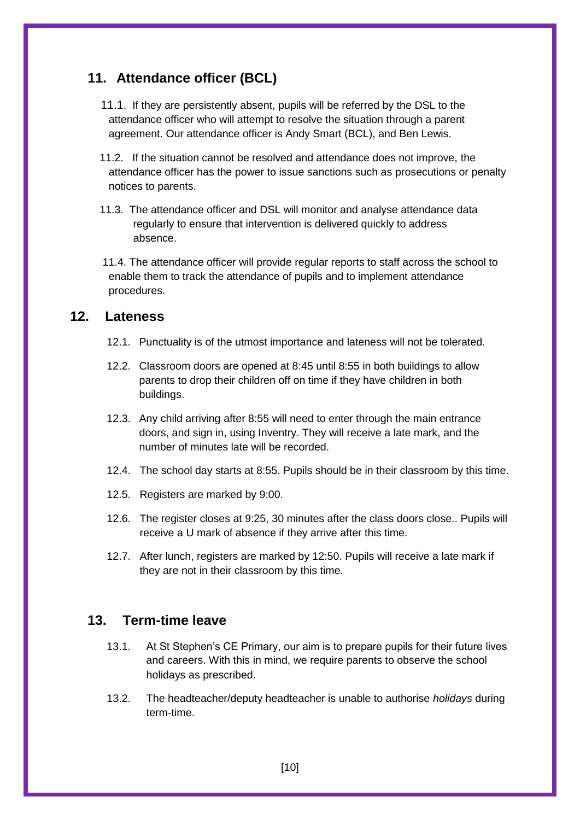# <span id="page-9-0"></span>**11. Attendance officer (BCL)**

- 11.1. If they are persistently absent, pupils will be referred by the DSL to the attendance officer who will attempt to resolve the situation through a parent agreement. Our attendance officer is Andy Smart (BCL), and Ben Lewis.
- 11.2. If the situation cannot be resolved and attendance does not improve, the attendance officer has the power to issue sanctions such as prosecutions or penalty notices to parents.
- 11.3. The attendance officer and DSL will monitor and analyse attendance data regularly to ensure that intervention is delivered quickly to address absence.

 11.4. The attendance officer will provide regular reports to staff across the school to enable them to track the attendance of pupils and to implement attendance procedures.

#### **12. Lateness**

- 12.1. Punctuality is of the utmost importance and lateness will not be tolerated.
- 12.2. Classroom doors are opened at 8:45 until 8:55 in both buildings to allow parents to drop their children off on time if they have children in both buildings.
- 12.3. Any child arriving after 8:55 will need to enter through the main entrance doors, and sign in, using Inventry. They will receive a late mark, and the number of minutes late will be recorded.
- 12.4. The school day starts at 8:55. Pupils should be in their classroom by this time.
- 12.5. Registers are marked by 9:00.
- 12.6. The register closes at 9:25, 30 minutes after the class doors close.. Pupils will receive a U mark of absence if they arrive after this time.
- 12.7. After lunch, registers are marked by 12:50. Pupils will receive a late mark if they are not in their classroom by this time.

# <span id="page-9-1"></span>**13. Term-time leave**

- 13.1. At St Stephen's CE Primary, our aim is to prepare pupils for their future lives and careers. With this in mind, we require parents to observe the school holidays as prescribed.
- 13.2. The headteacher/deputy headteacher is unable to authorise *holidays* during term-time.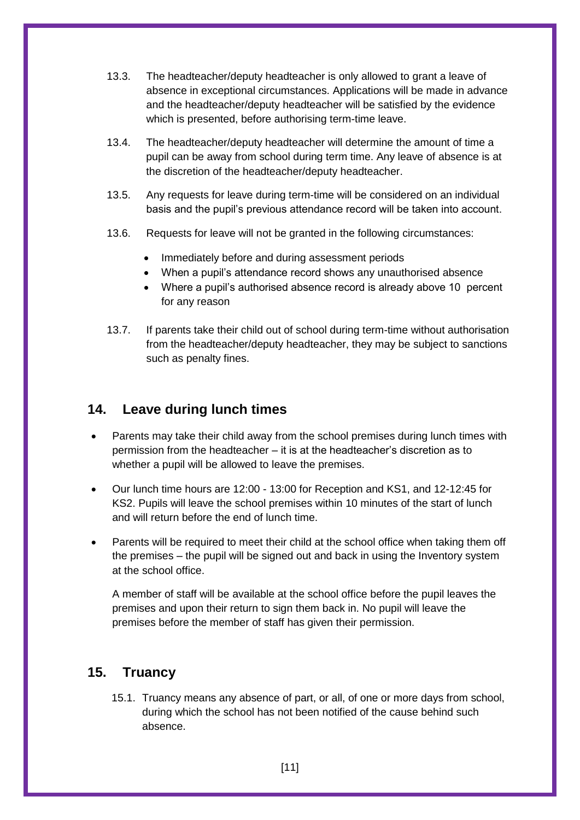- 13.3. The headteacher/deputy headteacher is only allowed to grant a leave of absence in exceptional circumstances. Applications will be made in advance and the headteacher/deputy headteacher will be satisfied by the evidence which is presented, before authorising term-time leave.
- 13.4. The headteacher/deputy headteacher will determine the amount of time a pupil can be away from school during term time. Any leave of absence is at the discretion of the headteacher/deputy headteacher.
- 13.5. Any requests for leave during term-time will be considered on an individual basis and the pupil's previous attendance record will be taken into account.
- 13.6. Requests for leave will not be granted in the following circumstances:
	- Immediately before and during assessment periods
	- When a pupil's attendance record shows any unauthorised absence
	- Where a pupil's authorised absence record is already above 10 percent for any reason
- 13.7. If parents take their child out of school during term-time without authorisation from the headteacher/deputy headteacher, they may be subject to sanctions such as penalty fines.

#### <span id="page-10-0"></span>**14. Leave during lunch times**

- Parents may take their child away from the school premises during lunch times with permission from the headteacher – it is at the headteacher's discretion as to whether a pupil will be allowed to leave the premises.
- Our lunch time hours are 12:00 13:00 for Reception and KS1, and 12-12:45 for KS2. Pupils will leave the school premises within 10 minutes of the start of lunch and will return before the end of lunch time.
- Parents will be required to meet their child at the school office when taking them off the premises – the pupil will be signed out and back in using the Inventory system at the school office.

A member of staff will be available at the school office before the pupil leaves the premises and upon their return to sign them back in. No pupil will leave the premises before the member of staff has given their permission.

#### <span id="page-10-1"></span>**15. Truancy**

15.1. Truancy means any absence of part, or all, of one or more days from school, during which the school has not been notified of the cause behind such absence.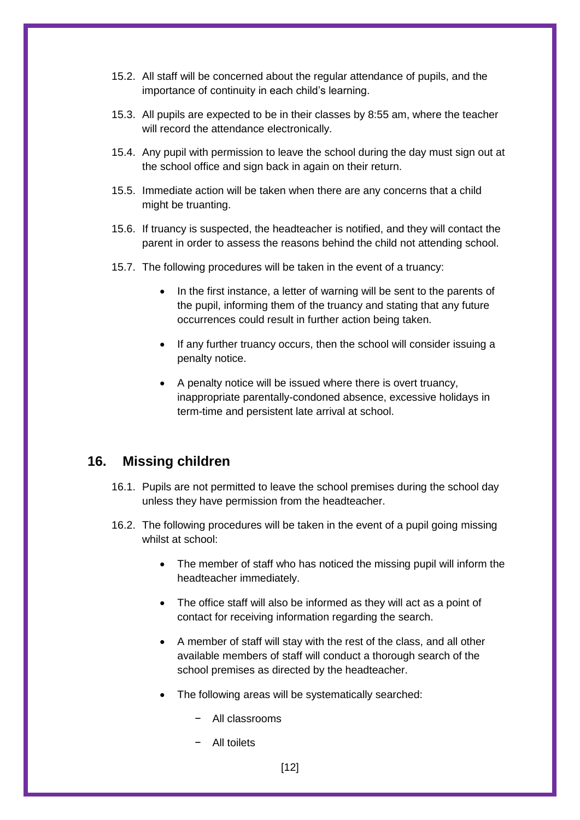- 15.2. All staff will be concerned about the regular attendance of pupils, and the importance of continuity in each child's learning.
- 15.3. All pupils are expected to be in their classes by 8:55 am, where the teacher will record the attendance electronically.
- 15.4. Any pupil with permission to leave the school during the day must sign out at the school office and sign back in again on their return.
- 15.5. Immediate action will be taken when there are any concerns that a child might be truanting.
- 15.6. If truancy is suspected, the headteacher is notified, and they will contact the parent in order to assess the reasons behind the child not attending school.
- 15.7. The following procedures will be taken in the event of a truancy:
	- In the first instance, a letter of warning will be sent to the parents of the pupil, informing them of the truancy and stating that any future occurrences could result in further action being taken.
	- If any further truancy occurs, then the school will consider issuing a penalty notice.
	- A penalty notice will be issued where there is overt truancy, inappropriate parentally-condoned absence, excessive holidays in term-time and persistent late arrival at school.

#### <span id="page-11-0"></span>**16. Missing children**

- 16.1. Pupils are not permitted to leave the school premises during the school day unless they have permission from the headteacher.
- 16.2. The following procedures will be taken in the event of a pupil going missing whilst at school:
	- The member of staff who has noticed the missing pupil will inform the headteacher immediately.
	- The office staff will also be informed as they will act as a point of contact for receiving information regarding the search.
	- A member of staff will stay with the rest of the class, and all other available members of staff will conduct a thorough search of the school premises as directed by the headteacher.
	- The following areas will be systematically searched:
		- − All classrooms
		- − All toilets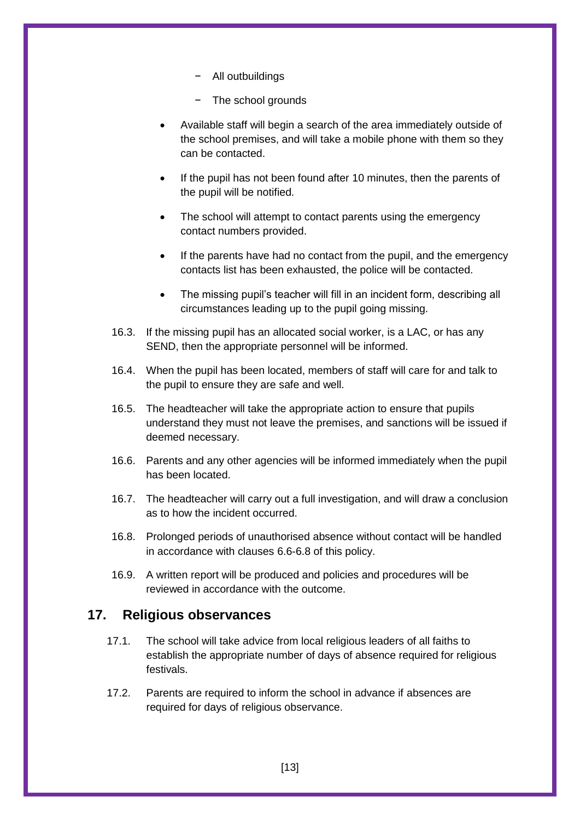- − All outbuildings
- − The school grounds
- Available staff will begin a search of the area immediately outside of the school premises, and will take a mobile phone with them so they can be contacted.
- If the pupil has not been found after 10 minutes, then the parents of the pupil will be notified.
- The school will attempt to contact parents using the emergency contact numbers provided.
- If the parents have had no contact from the pupil, and the emergency contacts list has been exhausted, the police will be contacted.
- The missing pupil's teacher will fill in an incident form, describing all circumstances leading up to the pupil going missing.
- 16.3. If the missing pupil has an allocated social worker, is a LAC, or has any SEND, then the appropriate personnel will be informed.
- 16.4. When the pupil has been located, members of staff will care for and talk to the pupil to ensure they are safe and well.
- 16.5. The headteacher will take the appropriate action to ensure that pupils understand they must not leave the premises, and sanctions will be issued if deemed necessary.
- 16.6. Parents and any other agencies will be informed immediately when the pupil has been located.
- 16.7. The headteacher will carry out a full investigation, and will draw a conclusion as to how the incident occurred.
- 16.8. Prolonged periods of unauthorised absence without contact will be handled in accordance with clauses [6.6](#page-6-1)[-6.8](#page-7-1) of this policy.
- 16.9. A written report will be produced and policies and procedures will be reviewed in accordance with the outcome.

# <span id="page-12-0"></span>**17. Religious observances**

- 17.1. The school will take advice from local religious leaders of all faiths to establish the appropriate number of days of absence required for religious festivals.
- 17.2. Parents are required to inform the school in advance if absences are required for days of religious observance.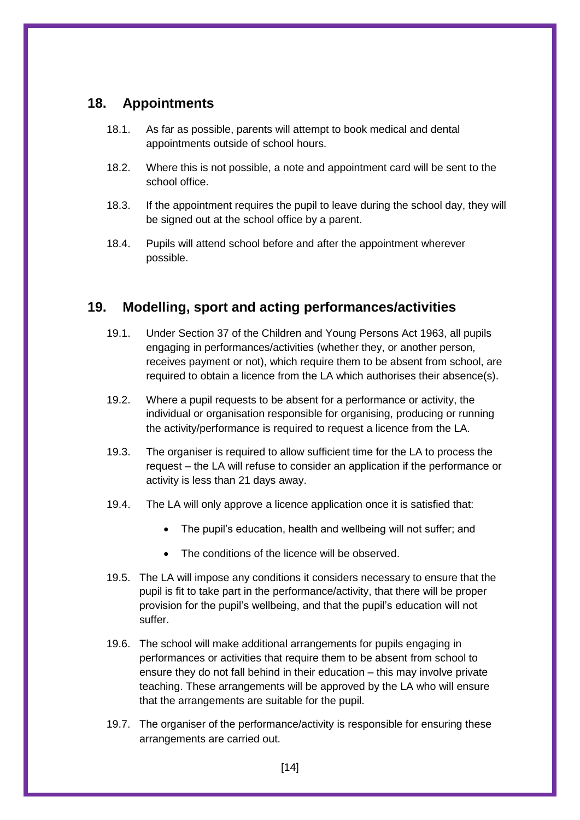# <span id="page-13-0"></span>**18. Appointments**

- 18.1. As far as possible, parents will attempt to book medical and dental appointments outside of school hours.
- 18.2. Where this is not possible, a note and appointment card will be sent to the school office.
- 18.3. If the appointment requires the pupil to leave during the school day, they will be signed out at the school office by a parent.
- 18.4. Pupils will attend school before and after the appointment wherever possible.

# <span id="page-13-1"></span>**19. Modelling, sport and acting performances/activities**

- 19.1. Under Section 37 of the Children and Young Persons Act 1963, all pupils engaging in performances/activities (whether they, or another person, receives payment or not), which require them to be absent from school, are required to obtain a licence from the LA which authorises their absence(s).
- 19.2. Where a pupil requests to be absent for a performance or activity, the individual or organisation responsible for organising, producing or running the activity/performance is required to request a licence from the LA.
- 19.3. The organiser is required to allow sufficient time for the LA to process the request – the LA will refuse to consider an application if the performance or activity is less than 21 days away.
- 19.4. The LA will only approve a licence application once it is satisfied that:
	- The pupil's education, health and wellbeing will not suffer; and
	- The conditions of the licence will be observed.
- 19.5. The LA will impose any conditions it considers necessary to ensure that the pupil is fit to take part in the performance/activity, that there will be proper provision for the pupil's wellbeing, and that the pupil's education will not suffer.
- 19.6. The school will make additional arrangements for pupils engaging in performances or activities that require them to be absent from school to ensure they do not fall behind in their education – this may involve private teaching. These arrangements will be approved by the LA who will ensure that the arrangements are suitable for the pupil.
- 19.7. The organiser of the performance/activity is responsible for ensuring these arrangements are carried out.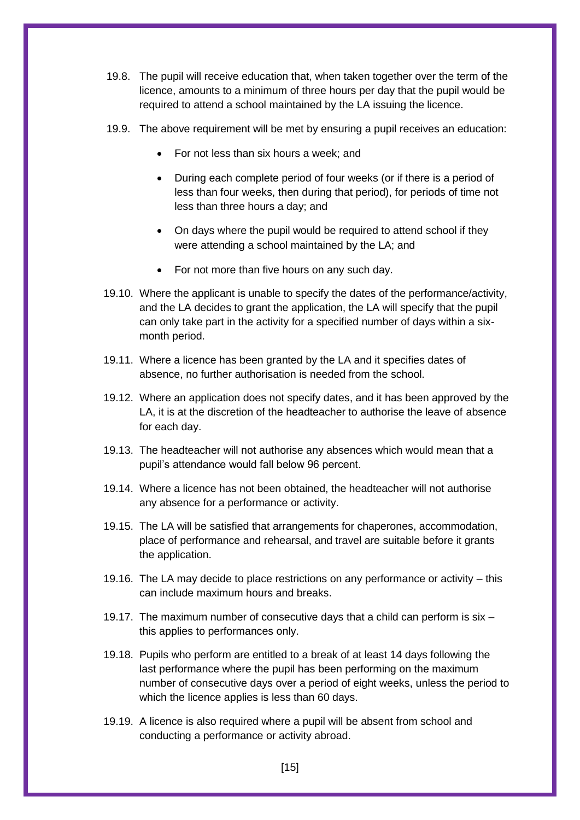- 19.8. The pupil will receive education that, when taken together over the term of the licence, amounts to a minimum of three hours per day that the pupil would be required to attend a school maintained by the LA issuing the licence.
- 19.9. The above requirement will be met by ensuring a pupil receives an education:
	- For not less than six hours a week; and
	- During each complete period of four weeks (or if there is a period of less than four weeks, then during that period), for periods of time not less than three hours a day; and
	- On days where the pupil would be required to attend school if they were attending a school maintained by the LA; and
	- For not more than five hours on any such day.
- 19.10. Where the applicant is unable to specify the dates of the performance/activity, and the LA decides to grant the application, the LA will specify that the pupil can only take part in the activity for a specified number of days within a sixmonth period.
- 19.11. Where a licence has been granted by the LA and it specifies dates of absence, no further authorisation is needed from the school.
- 19.12. Where an application does not specify dates, and it has been approved by the LA, it is at the discretion of the headteacher to authorise the leave of absence for each day.
- 19.13. The headteacher will not authorise any absences which would mean that a pupil's attendance would fall below 96 percent.
- 19.14. Where a licence has not been obtained, the headteacher will not authorise any absence for a performance or activity.
- 19.15. The LA will be satisfied that arrangements for chaperones, accommodation, place of performance and rehearsal, and travel are suitable before it grants the application.
- 19.16. The LA may decide to place restrictions on any performance or activity this can include maximum hours and breaks.
- 19.17. The maximum number of consecutive days that a child can perform is six this applies to performances only.
- 19.18. Pupils who perform are entitled to a break of at least 14 days following the last performance where the pupil has been performing on the maximum number of consecutive days over a period of eight weeks, unless the period to which the licence applies is less than 60 days.
- 19.19. A licence is also required where a pupil will be absent from school and conducting a performance or activity abroad.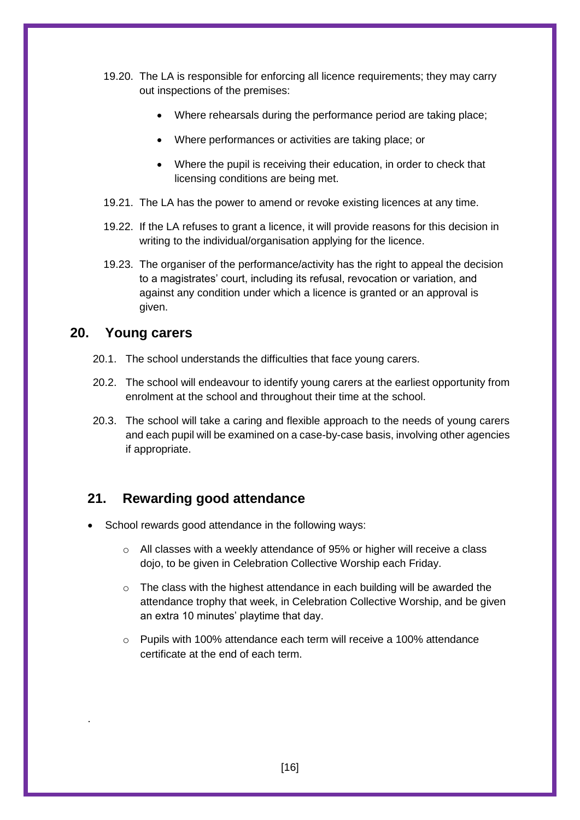- 19.20. The LA is responsible for enforcing all licence requirements; they may carry out inspections of the premises:
	- Where rehearsals during the performance period are taking place;
	- Where performances or activities are taking place; or
	- Where the pupil is receiving their education, in order to check that licensing conditions are being met.
- 19.21. The LA has the power to amend or revoke existing licences at any time.
- 19.22. If the LA refuses to grant a licence, it will provide reasons for this decision in writing to the individual/organisation applying for the licence.
- <span id="page-15-0"></span>19.23. The organiser of the performance/activity has the right to appeal the decision to a magistrates' court, including its refusal, revocation or variation, and against any condition under which a licence is granted or an approval is given.

#### **20. Young carers**

.

- 20.1. The school understands the difficulties that face young carers.
- 20.2. The school will endeavour to identify young carers at the earliest opportunity from enrolment at the school and throughout their time at the school.
- 20.3. The school will take a caring and flexible approach to the needs of young carers and each pupil will be examined on a case-by-case basis, involving other agencies if appropriate.

# <span id="page-15-1"></span>**21. Rewarding good attendance**

- School rewards good attendance in the following ways:
	- o All classes with a weekly attendance of 95% or higher will receive a class dojo, to be given in Celebration Collective Worship each Friday.
	- $\circ$  The class with the highest attendance in each building will be awarded the attendance trophy that week, in Celebration Collective Worship, and be given an extra 10 minutes' playtime that day.
	- o Pupils with 100% attendance each term will receive a 100% attendance certificate at the end of each term.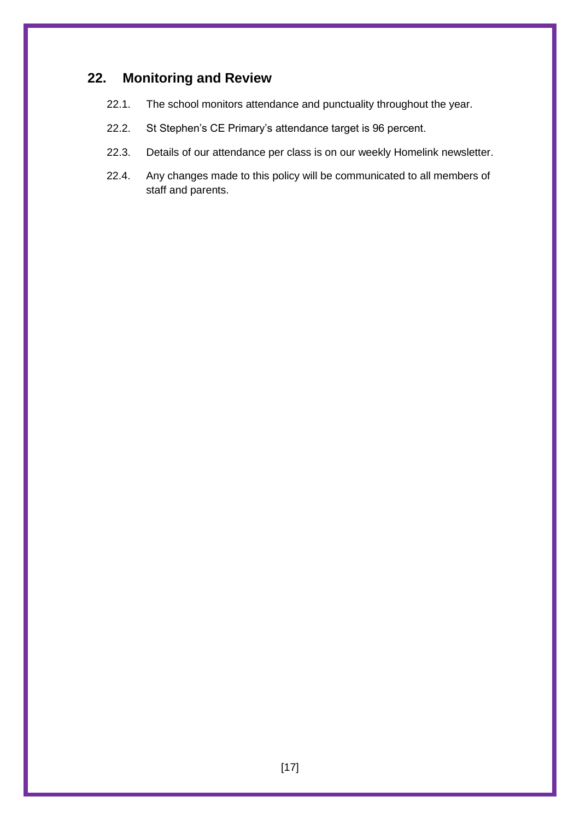# <span id="page-16-0"></span>**22. Monitoring and Review**

- 22.1. The school monitors attendance and punctuality throughout the year.
- 22.2. St Stephen's CE Primary's attendance target is 96 percent.
- 22.3. Details of our attendance per class is on our weekly Homelink newsletter.
- 22.4. Any changes made to this policy will be communicated to all members of staff and parents.